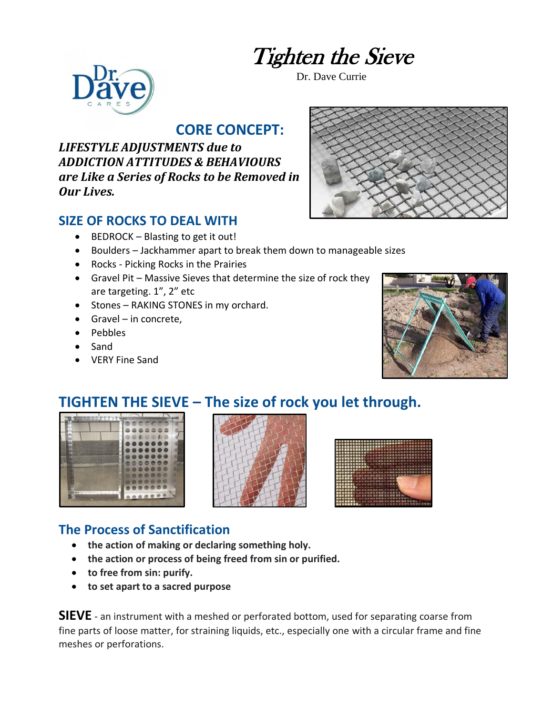# Tighten the Sieve

Dr. Dave Currie



#### **CORE CONCEPT:**

*LIFESTYLE ADJUSTMENTS due to ADDICTION ATTITUDES & BEHAVIOURS are Like a Series of Rocks to be Removed in Our Lives.*

#### **SIZE OF ROCKS TO DEAL WITH**

- BEDROCK Blasting to get it out!
- Boulders Jackhammer apart to break them down to manageable sizes
- Rocks Picking Rocks in the Prairies
- Gravel Pit Massive Sieves that determine the size of rock they are targeting. 1", 2" etc
- Stones RAKING STONES in my orchard.
- Gravel in concrete,
- Pebbles
- Sand
- VERY Fine Sand





## **TIGHTEN THE SIEVE – The size of rock you let through.**







#### **The Process of Sanctification**

- **the action of making or declaring something holy.**
- **the action or process of being freed from sin or purified.**
- **to free from sin: purify.**
- **to set apart to a sacred purpose**

**SIEVE** - an instrument with a meshed or perforated bottom, used for separating coarse from fine parts of loose matter, for straining liquids, etc., especially one with a circular frame and fine meshes or perforations.